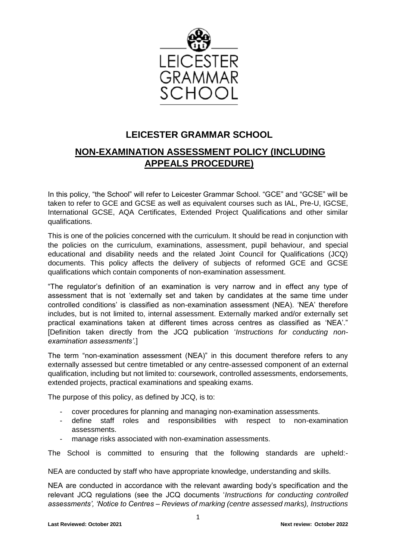

# **LEICESTER GRAMMAR SCHOOL**

# **NON-EXAMINATION ASSESSMENT POLICY (INCLUDING APPEALS PROCEDURE)**

In this policy, "the School" will refer to Leicester Grammar School. "GCE" and "GCSE" will be taken to refer to GCE and GCSE as well as equivalent courses such as IAL, Pre-U, IGCSE, International GCSE, AQA Certificates, Extended Project Qualifications and other similar qualifications.

This is one of the policies concerned with the curriculum. It should be read in conjunction with the policies on the curriculum, examinations, assessment, pupil behaviour, and special educational and disability needs and the related Joint Council for Qualifications (JCQ) documents. This policy affects the delivery of subjects of reformed GCE and GCSE qualifications which contain components of non-examination assessment.

"The regulator's definition of an examination is very narrow and in effect any type of assessment that is not 'externally set and taken by candidates at the same time under controlled conditions' is classified as non-examination assessment (NEA). 'NEA' therefore includes, but is not limited to, internal assessment. Externally marked and/or externally set practical examinations taken at different times across centres as classified as 'NEA'." [Definition taken directly from the JCQ publication '*Instructions for conducting nonexamination assessments'*.]

The term "non-examination assessment (NEA)" in this document therefore refers to any externally assessed but centre timetabled or any centre-assessed component of an external qualification, including but not limited to: coursework, controlled assessments, endorsements, extended projects, practical examinations and speaking exams.

The purpose of this policy, as defined by JCQ, is to:

- cover procedures for planning and managing non-examination assessments.
- define staff roles and responsibilities with respect to non-examination assessments.
- manage risks associated with non-examination assessments.

The School is committed to ensuring that the following standards are upheld:-

NEA are conducted by staff who have appropriate knowledge, understanding and skills.

NEA are conducted in accordance with the relevant awarding body's specification and the relevant JCQ regulations (see the JCQ documents '*Instructions for conducting controlled assessments', 'Notice to Centres – Reviews of marking (centre assessed marks), Instructions*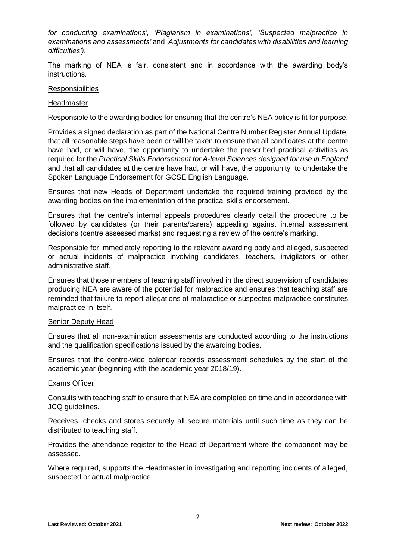*for conducting examinations', 'Plagiarism in examinations', 'Suspected malpractice in examinations and assessments'* and *'Adjustments for candidates with disabilities and learning difficulties').*

The marking of NEA is fair, consistent and in accordance with the awarding body's instructions.

### **Responsibilities**

#### **Headmaster**

Responsible to the awarding bodies for ensuring that the centre's NEA policy is fit for purpose.

Provides a signed declaration as part of the National Centre Number Register Annual Update, that all reasonable steps have been or will be taken to ensure that all candidates at the centre have had, or will have, the opportunity to undertake the prescribed practical activities as required for the *Practical Skills Endorsement for A-level Sciences designed for use in England* and that all candidates at the centre have had, or will have, the opportunity to undertake the Spoken Language Endorsement for GCSE English Language.

Ensures that new Heads of Department undertake the required training provided by the awarding bodies on the implementation of the practical skills endorsement.

Ensures that the centre's internal appeals procedures clearly detail the procedure to be followed by candidates (or their parents/carers) appealing against internal assessment decisions (centre assessed marks) and requesting a review of the centre's marking.

Responsible for immediately reporting to the relevant awarding body and alleged, suspected or actual incidents of malpractice involving candidates, teachers, invigilators or other administrative staff.

Ensures that those members of teaching staff involved in the direct supervision of candidates producing NEA are aware of the potential for malpractice and ensures that teaching staff are reminded that failure to report allegations of malpractice or suspected malpractice constitutes malpractice in itself.

#### Senior Deputy Head

Ensures that all non-examination assessments are conducted according to the instructions and the qualification specifications issued by the awarding bodies.

Ensures that the centre-wide calendar records assessment schedules by the start of the academic year (beginning with the academic year 2018/19).

## Exams Officer

Consults with teaching staff to ensure that NEA are completed on time and in accordance with JCQ guidelines.

Receives, checks and stores securely all secure materials until such time as they can be distributed to teaching staff.

Provides the attendance register to the Head of Department where the component may be assessed.

Where required, supports the Headmaster in investigating and reporting incidents of alleged, suspected or actual malpractice.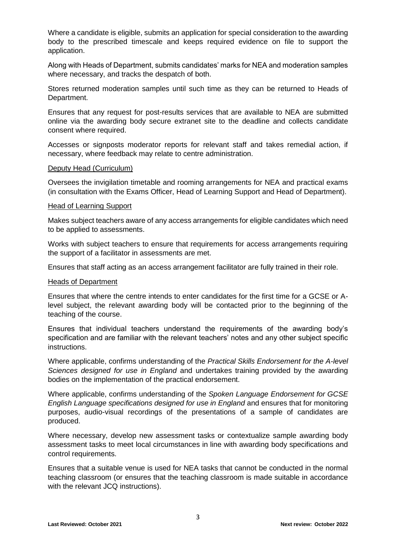Where a candidate is eligible, submits an application for special consideration to the awarding body to the prescribed timescale and keeps required evidence on file to support the application.

Along with Heads of Department, submits candidates' marks for NEA and moderation samples where necessary, and tracks the despatch of both.

Stores returned moderation samples until such time as they can be returned to Heads of Department.

Ensures that any request for post-results services that are available to NEA are submitted online via the awarding body secure extranet site to the deadline and collects candidate consent where required.

Accesses or signposts moderator reports for relevant staff and takes remedial action, if necessary, where feedback may relate to centre administration.

#### Deputy Head (Curriculum)

Oversees the invigilation timetable and rooming arrangements for NEA and practical exams (in consultation with the Exams Officer, Head of Learning Support and Head of Department).

### Head of Learning Support

Makes subject teachers aware of any access arrangements for eligible candidates which need to be applied to assessments.

Works with subject teachers to ensure that requirements for access arrangements requiring the support of a facilitator in assessments are met.

Ensures that staff acting as an access arrangement facilitator are fully trained in their role.

#### Heads of Department

Ensures that where the centre intends to enter candidates for the first time for a GCSE or Alevel subject, the relevant awarding body will be contacted prior to the beginning of the teaching of the course.

Ensures that individual teachers understand the requirements of the awarding body's specification and are familiar with the relevant teachers' notes and any other subject specific instructions.

Where applicable, confirms understanding of the *Practical Skills Endorsement for the A-level Sciences designed for use in England* and undertakes training provided by the awarding bodies on the implementation of the practical endorsement.

Where applicable, confirms understanding of the *Spoken Language Endorsement for GCSE English Language specifications designed for use in England* and ensures that for monitoring purposes, audio-visual recordings of the presentations of a sample of candidates are produced.

Where necessary, develop new assessment tasks or contextualize sample awarding body assessment tasks to meet local circumstances in line with awarding body specifications and control requirements.

Ensures that a suitable venue is used for NEA tasks that cannot be conducted in the normal teaching classroom (or ensures that the teaching classroom is made suitable in accordance with the relevant JCQ instructions).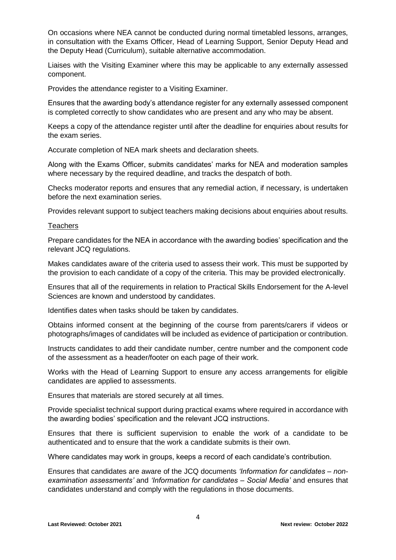On occasions where NEA cannot be conducted during normal timetabled lessons, arranges, in consultation with the Exams Officer, Head of Learning Support, Senior Deputy Head and the Deputy Head (Curriculum), suitable alternative accommodation.

Liaises with the Visiting Examiner where this may be applicable to any externally assessed component.

Provides the attendance register to a Visiting Examiner.

Ensures that the awarding body's attendance register for any externally assessed component is completed correctly to show candidates who are present and any who may be absent.

Keeps a copy of the attendance register until after the deadline for enquiries about results for the exam series.

Accurate completion of NEA mark sheets and declaration sheets.

Along with the Exams Officer, submits candidates' marks for NEA and moderation samples where necessary by the required deadline, and tracks the despatch of both.

Checks moderator reports and ensures that any remedial action, if necessary, is undertaken before the next examination series.

Provides relevant support to subject teachers making decisions about enquiries about results.

#### **Teachers**

Prepare candidates for the NEA in accordance with the awarding bodies' specification and the relevant JCQ regulations.

Makes candidates aware of the criteria used to assess their work. This must be supported by the provision to each candidate of a copy of the criteria. This may be provided electronically.

Ensures that all of the requirements in relation to Practical Skills Endorsement for the A-level Sciences are known and understood by candidates.

Identifies dates when tasks should be taken by candidates.

Obtains informed consent at the beginning of the course from parents/carers if videos or photographs/images of candidates will be included as evidence of participation or contribution.

Instructs candidates to add their candidate number, centre number and the component code of the assessment as a header/footer on each page of their work.

Works with the Head of Learning Support to ensure any access arrangements for eligible candidates are applied to assessments.

Ensures that materials are stored securely at all times.

Provide specialist technical support during practical exams where required in accordance with the awarding bodies' specification and the relevant JCQ instructions.

Ensures that there is sufficient supervision to enable the work of a candidate to be authenticated and to ensure that the work a candidate submits is their own.

Where candidates may work in groups, keeps a record of each candidate's contribution.

Ensures that candidates are aware of the JCQ documents *'Information for candidates – nonexamination assessments'* and *'Information for candidates – Social Media'* and ensures that candidates understand and comply with the regulations in those documents.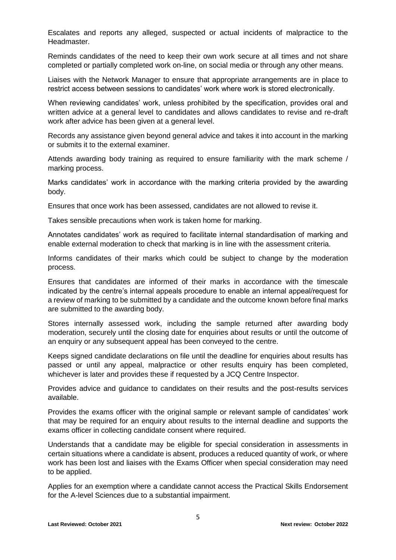Escalates and reports any alleged, suspected or actual incidents of malpractice to the Headmaster.

Reminds candidates of the need to keep their own work secure at all times and not share completed or partially completed work on-line, on social media or through any other means.

Liaises with the Network Manager to ensure that appropriate arrangements are in place to restrict access between sessions to candidates' work where work is stored electronically.

When reviewing candidates' work, unless prohibited by the specification, provides oral and written advice at a general level to candidates and allows candidates to revise and re-draft work after advice has been given at a general level.

Records any assistance given beyond general advice and takes it into account in the marking or submits it to the external examiner.

Attends awarding body training as required to ensure familiarity with the mark scheme / marking process.

Marks candidates' work in accordance with the marking criteria provided by the awarding body.

Ensures that once work has been assessed, candidates are not allowed to revise it.

Takes sensible precautions when work is taken home for marking.

Annotates candidates' work as required to facilitate internal standardisation of marking and enable external moderation to check that marking is in line with the assessment criteria.

Informs candidates of their marks which could be subject to change by the moderation process.

Ensures that candidates are informed of their marks in accordance with the timescale indicated by the centre's internal appeals procedure to enable an internal appeal/request for a review of marking to be submitted by a candidate and the outcome known before final marks are submitted to the awarding body.

Stores internally assessed work, including the sample returned after awarding body moderation, securely until the closing date for enquiries about results or until the outcome of an enquiry or any subsequent appeal has been conveyed to the centre.

Keeps signed candidate declarations on file until the deadline for enquiries about results has passed or until any appeal, malpractice or other results enquiry has been completed, whichever is later and provides these if requested by a JCQ Centre Inspector.

Provides advice and guidance to candidates on their results and the post-results services available.

Provides the exams officer with the original sample or relevant sample of candidates' work that may be required for an enquiry about results to the internal deadline and supports the exams officer in collecting candidate consent where required.

Understands that a candidate may be eligible for special consideration in assessments in certain situations where a candidate is absent, produces a reduced quantity of work, or where work has been lost and liaises with the Exams Officer when special consideration may need to be applied.

Applies for an exemption where a candidate cannot access the Practical Skills Endorsement for the A-level Sciences due to a substantial impairment.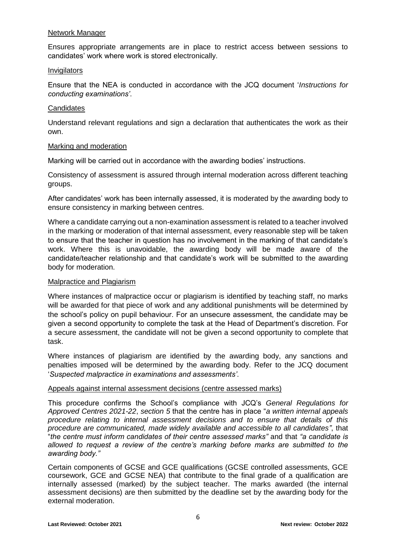## Network Manager

Ensures appropriate arrangements are in place to restrict access between sessions to candidates' work where work is stored electronically.

## **Invigilators**

Ensure that the NEA is conducted in accordance with the JCQ document '*Instructions for conducting examinations'*.

## **Candidates**

Understand relevant regulations and sign a declaration that authenticates the work as their own.

## Marking and moderation

Marking will be carried out in accordance with the awarding bodies' instructions.

Consistency of assessment is assured through internal moderation across different teaching groups.

After candidates' work has been internally assessed, it is moderated by the awarding body to ensure consistency in marking between centres.

Where a candidate carrying out a non-examination assessment is related to a teacher involved in the marking or moderation of that internal assessment, every reasonable step will be taken to ensure that the teacher in question has no involvement in the marking of that candidate's work. Where this is unavoidable, the awarding body will be made aware of the candidate/teacher relationship and that candidate's work will be submitted to the awarding body for moderation.

## Malpractice and Plagiarism

Where instances of malpractice occur or plagiarism is identified by teaching staff, no marks will be awarded for that piece of work and any additional punishments will be determined by the school's policy on pupil behaviour. For an unsecure assessment, the candidate may be given a second opportunity to complete the task at the Head of Department's discretion. For a secure assessment, the candidate will not be given a second opportunity to complete that task.

Where instances of plagiarism are identified by the awarding body, any sanctions and penalties imposed will be determined by the awarding body. Refer to the JCQ document '*Suspected malpractice in examinations and assessments'*.

## Appeals against internal assessment decisions (centre assessed marks)

This procedure confirms the School's compliance with JCQ's *General Regulations for Approved Centres 2021-22*, *section 5* that the centre has in place "*a written internal appeals procedure relating to internal assessment decisions and to ensure that details of this procedure are communicated, made widely available and accessible to all candidates"*, that "*the centre must inform candidates of their centre assessed marks"* and that *"a candidate is allowed to request a review of the centre's marking before marks are submitted to the awarding body."*

Certain components of GCSE and GCE qualifications (GCSE controlled assessments, GCE coursework, GCE and GCSE NEA) that contribute to the final grade of a qualification are internally assessed (marked) by the subject teacher. The marks awarded (the internal assessment decisions) are then submitted by the deadline set by the awarding body for the external moderation.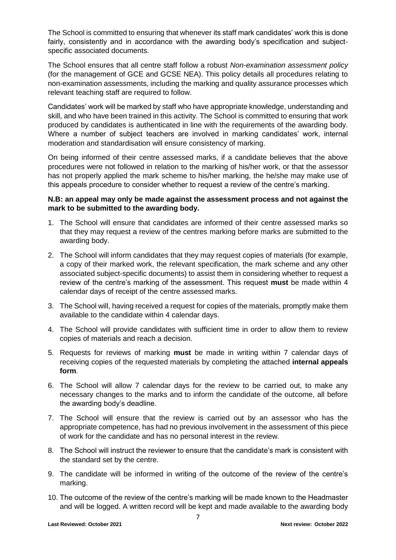The School is committed to ensuring that whenever its staff mark candidates' work this is done fairly, consistently and in accordance with the awarding body's specification and subjectspecific associated documents.

The School ensures that all centre staff follow a robust *Non-examination assessment policy* (for the management of GCE and GCSE NEA). This policy details all procedures relating to non-examination assessments, including the marking and quality assurance processes which relevant teaching staff are required to follow.

Candidates' work will be marked by staff who have appropriate knowledge, understanding and skill, and who have been trained in this activity. The School is committed to ensuring that work produced by candidates is authenticated in line with the requirements of the awarding body. Where a number of subject teachers are involved in marking candidates' work, internal moderation and standardisation will ensure consistency of marking.

On being informed of their centre assessed marks, if a candidate believes that the above procedures were not followed in relation to the marking of his/her work, or that the assessor has not properly applied the mark scheme to his/her marking, the he/she may make use of this appeals procedure to consider whether to request a review of the centre's marking.

## **N.B: an appeal may only be made against the assessment process and not against the mark to be submitted to the awarding body.**

- 1. The School will ensure that candidates are informed of their centre assessed marks so that they may request a review of the centres marking before marks are submitted to the awarding body.
- 2. The School will inform candidates that they may request copies of materials (for example, a copy of their marked work, the relevant specification, the mark scheme and any other associated subject-specific documents) to assist them in considering whether to request a review of the centre's marking of the assessment. This request **must** be made within 4 calendar days of receipt of the centre assessed marks.
- 3. The School will, having received a request for copies of the materials, promptly make them available to the candidate within 4 calendar days.
- 4. The School will provide candidates with sufficient time in order to allow them to review copies of materials and reach a decision.
- 5. Requests for reviews of marking **must** be made in writing within 7 calendar days of receiving copies of the requested materials by completing the attached **internal appeals form**.
- 6. The School will allow 7 calendar days for the review to be carried out, to make any necessary changes to the marks and to inform the candidate of the outcome, all before the awarding body's deadline.
- 7. The School will ensure that the review is carried out by an assessor who has the appropriate competence, has had no previous involvement in the assessment of this piece of work for the candidate and has no personal interest in the review.
- 8. The School will instruct the reviewer to ensure that the candidate's mark is consistent with the standard set by the centre.
- 9. The candidate will be informed in writing of the outcome of the review of the centre's marking.
- 10. The outcome of the review of the centre's marking will be made known to the Headmaster and will be logged. A written record will be kept and made available to the awarding body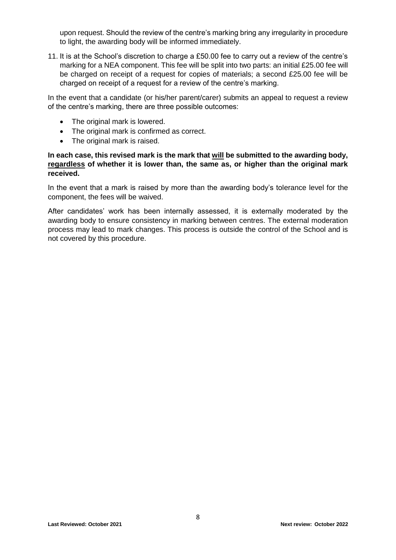upon request. Should the review of the centre's marking bring any irregularity in procedure to light, the awarding body will be informed immediately.

11. It is at the School's discretion to charge a £50.00 fee to carry out a review of the centre's marking for a NEA component. This fee will be split into two parts: an initial £25.00 fee will be charged on receipt of a request for copies of materials; a second £25.00 fee will be charged on receipt of a request for a review of the centre's marking.

In the event that a candidate (or his/her parent/carer) submits an appeal to request a review of the centre's marking, there are three possible outcomes:

- The original mark is lowered.
- The original mark is confirmed as correct.
- The original mark is raised.

## **In each case, this revised mark is the mark that will be submitted to the awarding body, regardless of whether it is lower than, the same as, or higher than the original mark received.**

In the event that a mark is raised by more than the awarding body's tolerance level for the component, the fees will be waived.

After candidates' work has been internally assessed, it is externally moderated by the awarding body to ensure consistency in marking between centres. The external moderation process may lead to mark changes. This process is outside the control of the School and is not covered by this procedure.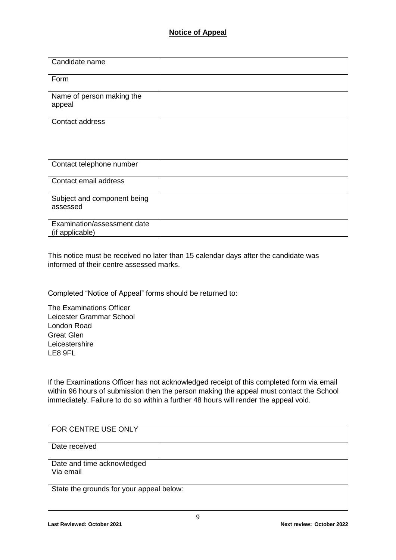| Candidate name                                 |  |
|------------------------------------------------|--|
| Form                                           |  |
| Name of person making the<br>appeal            |  |
| Contact address                                |  |
| Contact telephone number                       |  |
| Contact email address                          |  |
| Subject and component being<br>assessed        |  |
| Examination/assessment date<br>(if applicable) |  |

This notice must be received no later than 15 calendar days after the candidate was informed of their centre assessed marks.

Completed "Notice of Appeal" forms should be returned to:

The Examinations Officer Leicester Grammar School London Road Great Glen Leicestershire LE8 9FL

If the Examinations Officer has not acknowledged receipt of this completed form via email within 96 hours of submission then the person making the appeal must contact the School immediately. Failure to do so within a further 48 hours will render the appeal void.

| FOR CENTRE USE ONLY                      |  |
|------------------------------------------|--|
| Date received                            |  |
| Date and time acknowledged<br>Via email  |  |
| State the grounds for your appeal below: |  |